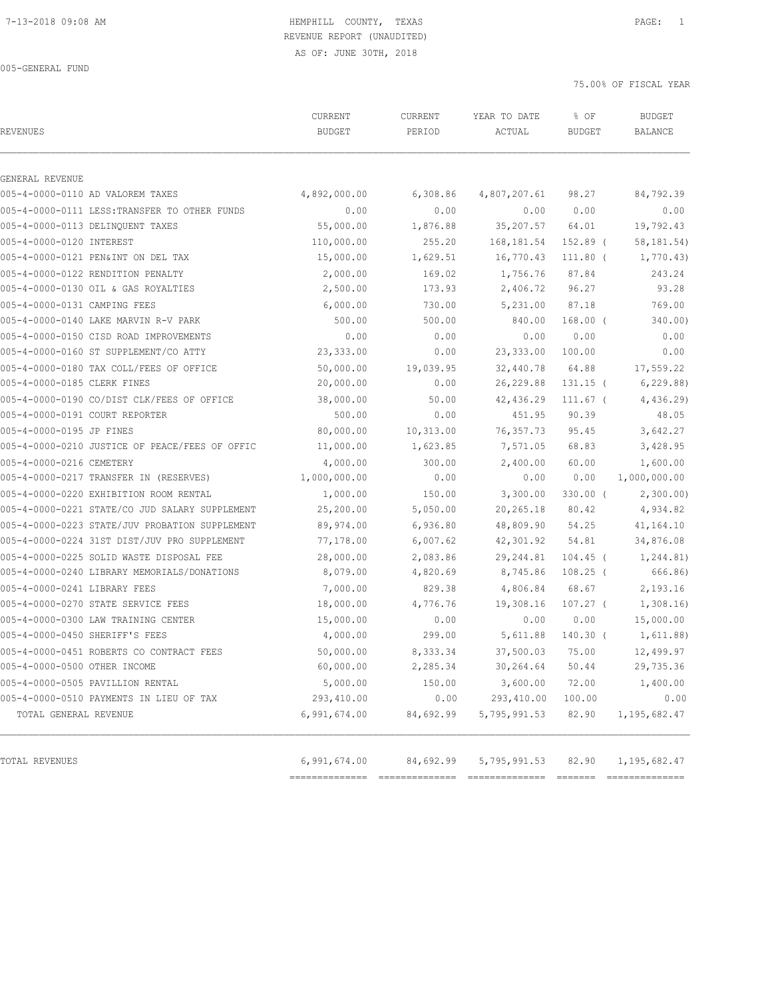# REVENUE REPORT (UNAUDITED)

AS OF: JUNE 30TH, 2018

005-GENERAL FUND

| <b>REVENUES</b>                                | CURRENT<br><b>BUDGET</b> | CURRENT<br>PERIOD | YEAR TO DATE<br>ACTUAL | % OF<br><b>BUDGET</b> | <b>BUDGET</b><br><b>BALANCE</b> |
|------------------------------------------------|--------------------------|-------------------|------------------------|-----------------------|---------------------------------|
| GENERAL REVENUE                                |                          |                   |                        |                       |                                 |
| 005-4-0000-0110 AD VALOREM TAXES               | 4,892,000.00             | 6,308.86          | 4,807,207.61           | 98.27                 | 84,792.39                       |
| 005-4-0000-0111 LESS: TRANSFER TO OTHER FUNDS  | 0.00                     | 0.00              | 0.00                   | 0.00                  | 0.00                            |
| 005-4-0000-0113 DELINOUENT TAXES               | 55,000.00                | 1,876.88          | 35, 207.57             | 64.01                 | 19,792.43                       |
| 005-4-0000-0120 INTEREST                       | 110,000.00               | 255.20            | 168, 181.54            | 152.89 (              | 58, 181. 54)                    |
| 005-4-0000-0121 PEN&INT ON DEL TAX             | 15,000.00                | 1,629.51          | 16,770.43              | 111.80 (              | 1,770.43)                       |
| 005-4-0000-0122 RENDITION PENALTY              | 2,000.00                 | 169.02            | 1,756.76               | 87.84                 | 243.24                          |
| 005-4-0000-0130 OIL & GAS ROYALTIES            | 2,500.00                 | 173.93            | 2,406.72               | 96.27                 | 93.28                           |
| 005-4-0000-0131 CAMPING FEES                   | 6,000.00                 | 730.00            | 5,231.00               | 87.18                 | 769.00                          |
| 005-4-0000-0140 LAKE MARVIN R-V PARK           | 500.00                   | 500.00            | 840.00                 | $168.00$ (            | 340.00)                         |
| 005-4-0000-0150 CISD ROAD IMPROVEMENTS         | 0.00                     | 0.00              | 0.00                   | 0.00                  | 0.00                            |
| 005-4-0000-0160 ST SUPPLEMENT/CO ATTY          | 23,333.00                | 0.00              | 23, 333.00             | 100.00                | 0.00                            |
| 005-4-0000-0180 TAX COLL/FEES OF OFFICE        | 50,000.00                | 19,039.95         | 32,440.78              | 64.88                 | 17,559.22                       |
| 005-4-0000-0185 CLERK FINES                    | 20,000.00                | 0.00              | 26,229.88              | $131.15$ (            | 6, 229.88)                      |
| 005-4-0000-0190 CO/DIST CLK/FEES OF OFFICE     | 38,000.00                | 50.00             | 42,436.29              | $111.67$ (            | 4,436.29                        |
| 005-4-0000-0191 COURT REPORTER                 | 500.00                   | 0.00              | 451.95                 | 90.39                 | 48.05                           |
| 005-4-0000-0195 JP FINES                       | 80,000.00                | 10,313.00         | 76, 357.73             | 95.45                 | 3,642.27                        |
| 005-4-0000-0210 JUSTICE OF PEACE/FEES OF OFFIC | 11,000.00                | 1,623.85          | 7,571.05               | 68.83                 | 3,428.95                        |
| 005-4-0000-0216 CEMETERY                       | 4,000.00                 | 300.00            | 2,400.00               | 60.00                 | 1,600.00                        |
| 005-4-0000-0217 TRANSFER IN (RESERVES)         | 1,000,000.00             | 0.00              | 0.00                   | 0.00                  | 1,000,000.00                    |
| 005-4-0000-0220 EXHIBITION ROOM RENTAL         | 1,000.00                 | 150.00            | 3,300.00               | $330.00$ (            | 2,300.00)                       |
| 005-4-0000-0221 STATE/CO JUD SALARY SUPPLEMENT | 25,200.00                | 5,050.00          | 20,265.18              | 80.42                 | 4,934.82                        |
| 005-4-0000-0223 STATE/JUV PROBATION SUPPLEMENT | 89,974.00                | 6,936.80          | 48,809.90              | 54.25                 | 41,164.10                       |
| 005-4-0000-0224 31ST DIST/JUV PRO SUPPLEMENT   | 77,178.00                | 6,007.62          | 42,301.92              | 54.81                 | 34,876.08                       |
| 005-4-0000-0225 SOLID WASTE DISPOSAL FEE       | 28,000.00                | 2,083.86          | 29, 244.81             | $104.45$ (            | 1,244.81)                       |
| 005-4-0000-0240 LIBRARY MEMORIALS/DONATIONS    | 8,079.00                 | 4,820.69          | 8,745.86               | $108.25$ (            | 666.86)                         |
| 005-4-0000-0241 LIBRARY FEES                   | 7,000.00                 | 829.38            | 4,806.84               | 68.67                 | 2,193.16                        |
| 005-4-0000-0270 STATE SERVICE FEES             | 18,000.00                | 4,776.76          | 19,308.16              | $107.27$ (            | 1,308.16                        |
| 005-4-0000-0300 LAW TRAINING CENTER            | 15,000.00                | 0.00              | 0.00                   | 0.00                  | 15,000.00                       |
| 005-4-0000-0450 SHERIFF'S FEES                 | 4,000.00                 | 299.00            | 5,611.88               | 140.30 (              | 1,611.88)                       |
| 005-4-0000-0451 ROBERTS CO CONTRACT FEES       | 50,000.00                | 8,333.34          | 37,500.03              | 75.00                 | 12,499.97                       |
| 005-4-0000-0500 OTHER INCOME                   | 60,000.00                | 2,285.34          | 30, 264.64             | 50.44                 | 29,735.36                       |
| 005-4-0000-0505 PAVILLION RENTAL               | 5,000.00                 | 150.00            | 3,600.00               | 72.00                 | 1,400.00                        |
| 005-4-0000-0510 PAYMENTS IN LIEU OF TAX        | 293,410.00               | 0.00              | 293,410.00             | 100.00                | 0.00                            |
| TOTAL GENERAL REVENUE                          | 6,991,674.00             | 84,692.99         | 5,795,991.53           | 82.90                 | 1, 195, 682.47                  |
| TOTAL REVENUES                                 | 6,991,674.00             | 84,692.99         | 5,795,991.53           | 82.90                 | 1, 195, 682.47                  |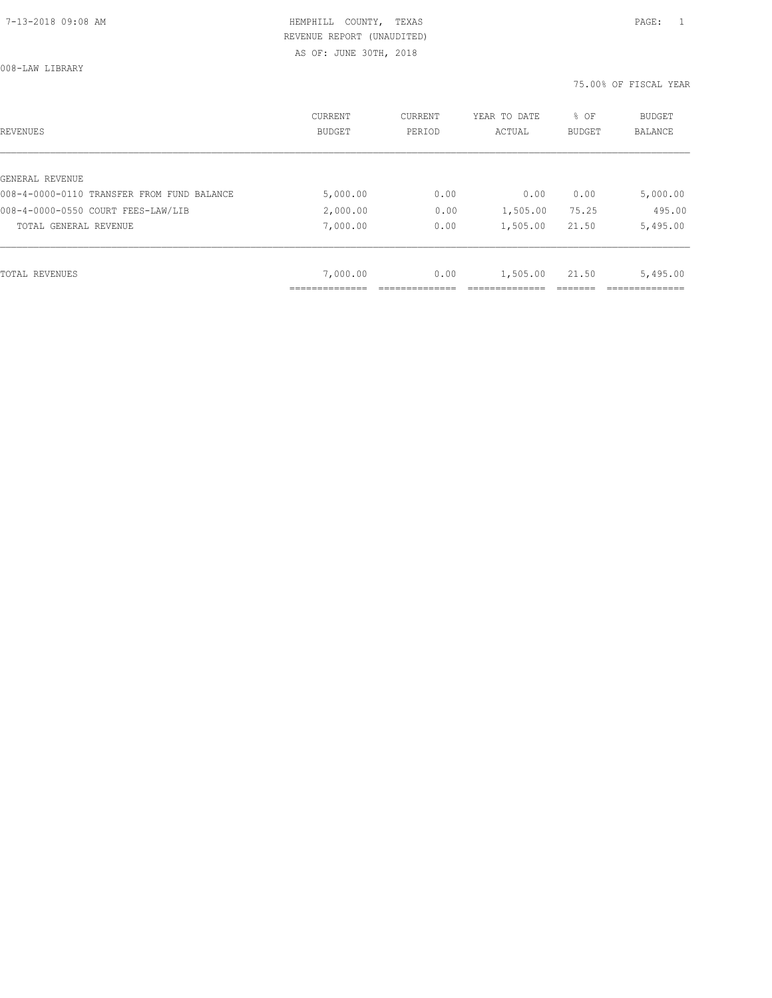AS OF: JUNE 30TH, 2018

008-LAW LIBRARY

| REVENUES                                   | <b>CURRENT</b><br><b>BUDGET</b> | CURRENT<br>PERIOD | YEAR TO DATE<br>ACTUAL | % OF<br>BUDGET | BUDGET<br><b>BALANCE</b> |
|--------------------------------------------|---------------------------------|-------------------|------------------------|----------------|--------------------------|
|                                            |                                 |                   |                        |                |                          |
| GENERAL REVENUE                            |                                 |                   |                        |                |                          |
| 008-4-0000-0110 TRANSFER FROM FUND BALANCE | 5,000.00                        | 0.00              | 0.00                   | 0.00           | 5,000.00                 |
| 008-4-0000-0550 COURT FEES-LAW/LIB         | 2,000.00                        | 0.00              | 1,505.00               | 75.25          | 495.00                   |
| TOTAL GENERAL REVENUE                      | 7,000.00                        | 0.00              | 1,505.00               | 21.50          | 5,495.00                 |
|                                            |                                 |                   |                        |                |                          |
| TOTAL REVENUES                             | 7,000.00                        | 0.00              | 1,505.00               | 21.50          | 5,495.00                 |
|                                            |                                 |                   |                        |                |                          |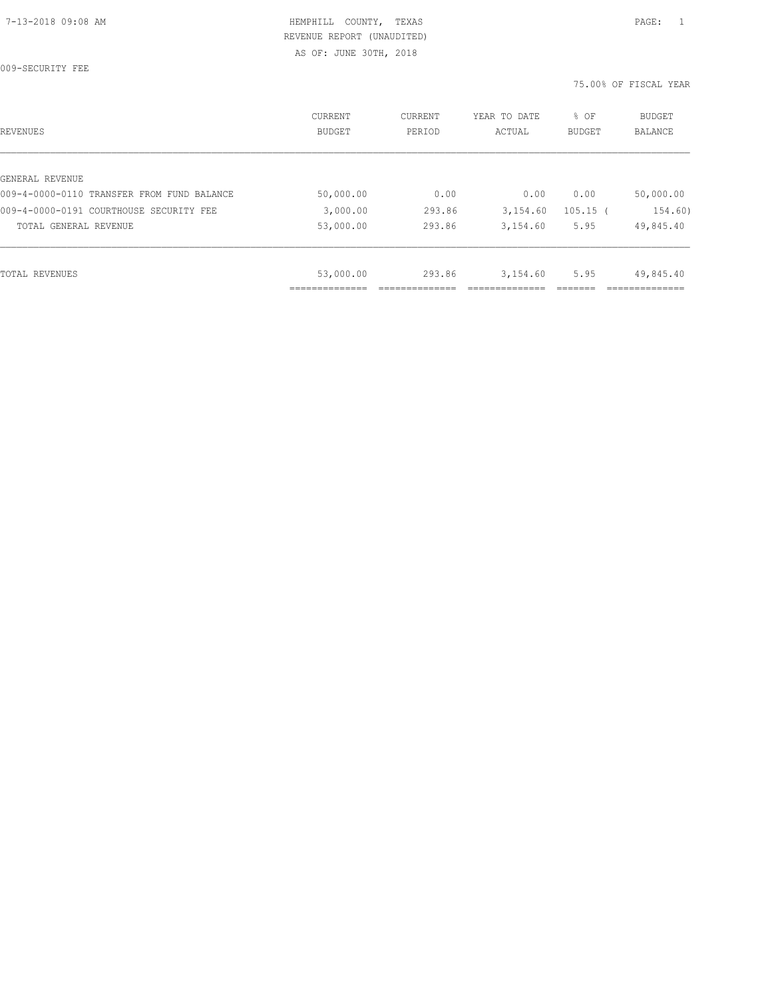009-SECURITY FEE

| REVENUES                                   | CURRENT<br>BUDGET | CURRENT<br>PERIOD | YEAR TO DATE<br>ACTUAL | % OF<br><b>BUDGET</b> | <b>BUDGET</b><br>BALANCE |
|--------------------------------------------|-------------------|-------------------|------------------------|-----------------------|--------------------------|
|                                            |                   |                   |                        |                       |                          |
| GENERAL REVENUE                            |                   |                   |                        |                       |                          |
| 009-4-0000-0110 TRANSFER FROM FUND BALANCE | 50,000.00         | 0.00              | 0.00                   | 0.00                  | 50,000.00                |
| 009-4-0000-0191 COURTHOUSE SECURITY FEE    | 3,000.00          | 293.86            | 3,154.60               | $105.15$ (            | 154.60)                  |
| TOTAL GENERAL REVENUE                      | 53,000.00         | 293.86            | 3,154.60               | 5.95                  | 49,845.40                |
|                                            |                   |                   |                        |                       |                          |
| TOTAL REVENUES                             | 53,000.00         | 293.86            | 3,154.60               | 5.95                  | 49,845.40                |
|                                            |                   |                   |                        |                       |                          |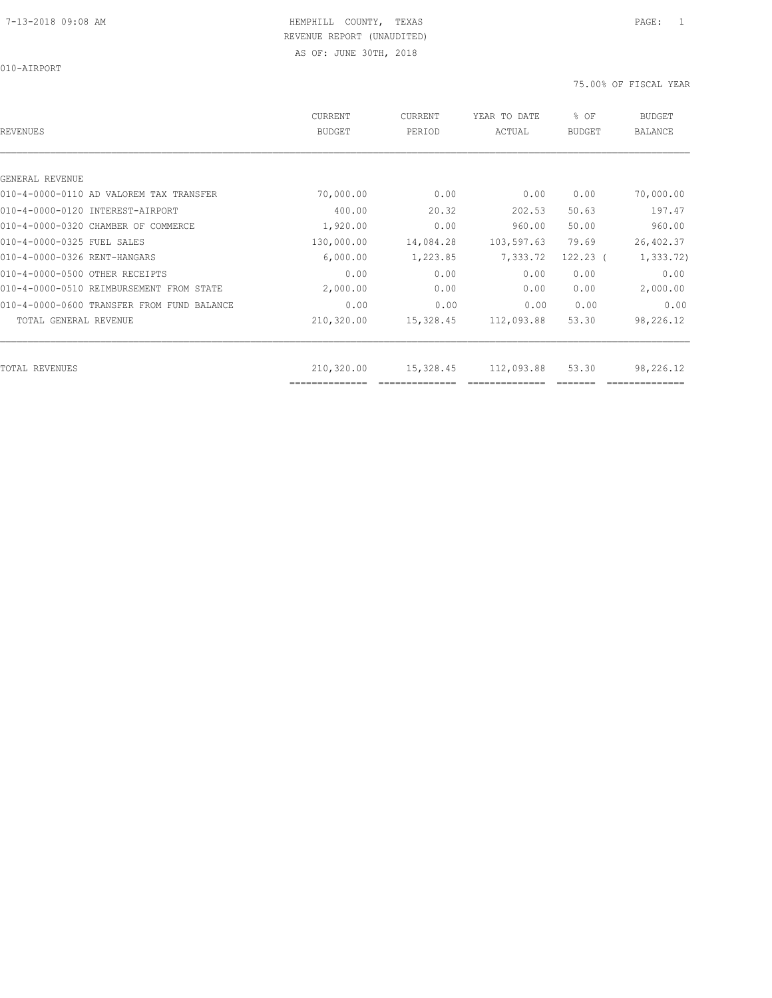010-AIRPORT

| REVENUES                                   | CURRENT<br><b>BUDGET</b>     | CURRENT<br>PERIOD | YEAR TO DATE<br>ACTUAL | % OF<br><b>BUDGET</b> | <b>BUDGET</b><br><b>BALANCE</b> |
|--------------------------------------------|------------------------------|-------------------|------------------------|-----------------------|---------------------------------|
|                                            |                              |                   |                        |                       |                                 |
| GENERAL REVENUE                            |                              |                   |                        |                       |                                 |
| 010-4-0000-0110 AD VALOREM TAX TRANSFER    | 70,000.00                    | 0.00              | 0.00                   | 0.00                  | 70,000.00                       |
| 010-4-0000-0120 INTEREST-AIRPORT           | 400.00                       | 20.32             | 202.53                 | 50.63                 | 197.47                          |
| 010-4-0000-0320 CHAMBER OF COMMERCE        | 1,920.00                     | 0.00              | 960.00                 | 50.00                 | 960.00                          |
| 010-4-0000-0325 FUEL SALES                 | 130,000.00                   | 14,084.28         | 103,597.63             | 79.69                 | 26,402.37                       |
| 010-4-0000-0326 RENT-HANGARS               | 6,000.00                     | 1,223.85          | 7,333.72               | $122.23$ (            | 1, 333.72)                      |
| 010-4-0000-0500 OTHER RECEIPTS             | 0.00                         | 0.00              | 0.00                   | 0.00                  | 0.00                            |
| 010-4-0000-0510 REIMBURSEMENT FROM STATE   | 2,000.00                     | 0.00              | 0.00                   | 0.00                  | 2,000.00                        |
| 010-4-0000-0600 TRANSFER FROM FUND BALANCE | 0.00                         | 0.00              | 0.00                   | 0.00                  | 0.00                            |
| TOTAL GENERAL REVENUE                      | 210,320.00                   | 15,328.45         | 112,093.88             | 53.30                 | 98,226.12                       |
|                                            |                              |                   |                        |                       |                                 |
| TOTAL REVENUES                             | 210,320.00<br>============== | 15,328.45         | 112,093.88             | 53.30                 | 98,226.12                       |
|                                            |                              |                   |                        |                       |                                 |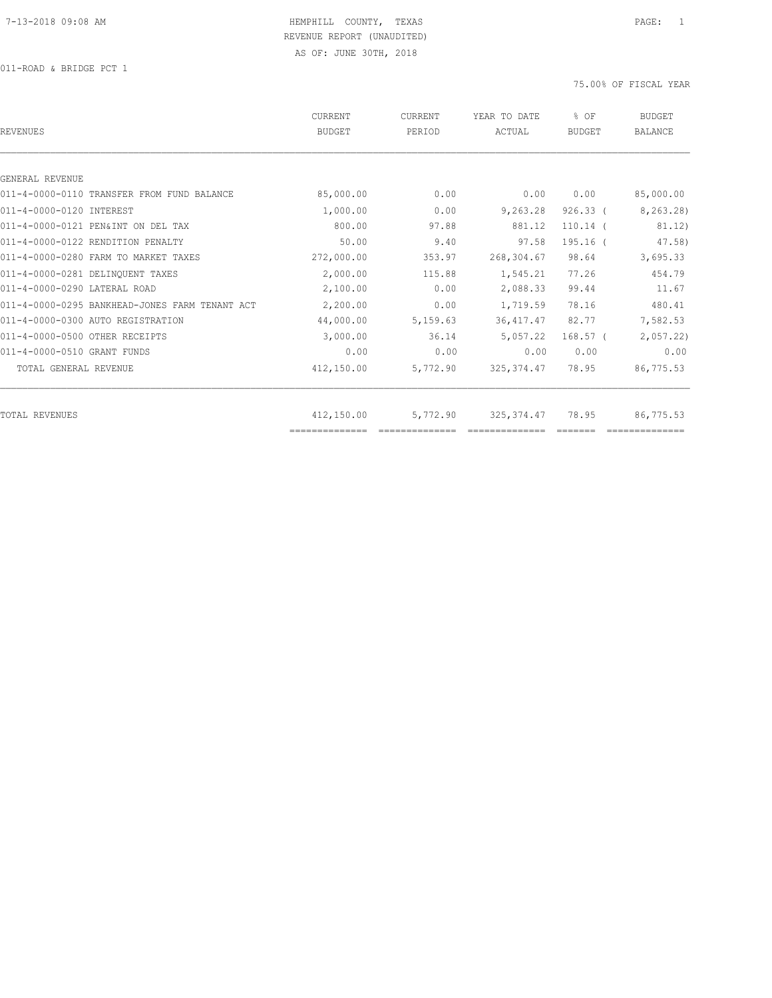| REVENUES                                       | <b>CURRENT</b><br><b>BUDGET</b> | CURRENT<br>PERIOD | YEAR TO DATE<br>ACTUAL | % OF<br><b>BUDGET</b> | <b>BUDGET</b><br><b>BALANCE</b> |
|------------------------------------------------|---------------------------------|-------------------|------------------------|-----------------------|---------------------------------|
|                                                |                                 |                   |                        |                       |                                 |
| GENERAL REVENUE                                |                                 |                   |                        |                       |                                 |
| 011-4-0000-0110 TRANSFER FROM FUND BALANCE     | 85,000.00                       | 0.00              | 0.00                   | 0.00                  | 85,000.00                       |
| 011-4-0000-0120 INTEREST                       | 1,000.00                        | 0.00              | 9,263.28               | $926.33$ (            | 8,263.28)                       |
| 011-4-0000-0121 PEN&INT ON DEL TAX             | 800.00                          | 97.88             | 881.12                 | $110.14$ (            | 81.12)                          |
| 011-4-0000-0122 RENDITION PENALTY              | 50.00                           | 9.40              | 97.58                  | 195.16 (              | 47.58)                          |
| 011-4-0000-0280 FARM TO MARKET TAXES           | 272,000.00                      | 353.97            | 268,304.67             | 98.64                 | 3,695.33                        |
| 011-4-0000-0281 DELINOUENT TAXES               | 2,000.00                        | 115.88            | 1,545.21               | 77.26                 | 454.79                          |
| 011-4-0000-0290 LATERAL ROAD                   | 2,100.00                        | 0.00              | 2,088.33               | 99.44                 | 11.67                           |
| 011-4-0000-0295 BANKHEAD-JONES FARM TENANT ACT | 2,200.00                        | 0.00              | 1,719.59               | 78.16                 | 480.41                          |
| 011-4-0000-0300 AUTO REGISTRATION              | 44,000.00                       | 5,159.63          | 36, 417.47             | 82.77                 | 7,582.53                        |
| 011-4-0000-0500 OTHER RECEIPTS                 | 3,000.00                        | 36.14             | 5,057.22               | $168.57$ (            | 2,057.22                        |
| 011-4-0000-0510 GRANT FUNDS                    | 0.00                            | 0.00              | 0.00                   | 0.00                  | 0.00                            |
| TOTAL GENERAL REVENUE                          | 412,150.00                      | 5,772.90          | 325, 374.47            | 78.95                 | 86,775.53                       |
|                                                |                                 |                   |                        |                       |                                 |
| TOTAL REVENUES                                 | 412,150.00                      | 5,772.90          | 325, 374.47            | 78.95                 | 86,775.53                       |
|                                                |                                 |                   |                        |                       |                                 |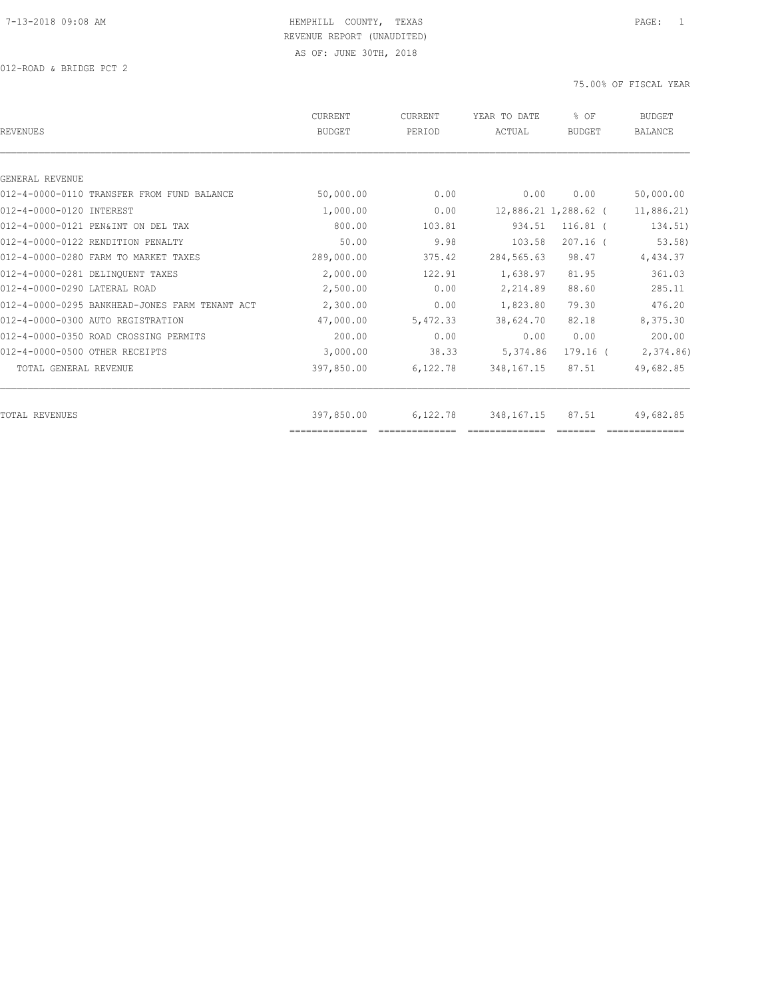| REVENUES                                       | CURRENT<br><b>BUDGET</b> | CURRENT<br>PERIOD | YEAR TO DATE<br>ACTUAL | % OF<br><b>BUDGET</b> | <b>BUDGET</b><br><b>BALANCE</b> |
|------------------------------------------------|--------------------------|-------------------|------------------------|-----------------------|---------------------------------|
|                                                |                          |                   |                        |                       |                                 |
| GENERAL REVENUE                                |                          |                   |                        |                       |                                 |
| 012-4-0000-0110 TRANSFER FROM FUND BALANCE     | 50,000.00                | 0.00              | 0.00                   | 0.00                  | 50,000.00                       |
| 012-4-0000-0120 INTEREST                       | 1,000.00                 | 0.00              |                        | 12,886.21 1,288.62 (  | 11,886.21                       |
| 012-4-0000-0121 PEN&INT ON DEL TAX             | 800.00                   | 103.81            | 934.51                 | $116.81$ (            | 134.51)                         |
| 012-4-0000-0122 RENDITION PENALTY              | 50.00                    | 9.98              | 103.58                 | $207.16$ (            | 53.58)                          |
| 012-4-0000-0280 FARM TO MARKET TAXES           | 289,000.00               | 375.42            | 284,565.63             | 98.47                 | 4,434.37                        |
| 012-4-0000-0281 DELINQUENT TAXES               | 2,000.00                 | 122.91            | 1,638.97               | 81.95                 | 361.03                          |
| 012-4-0000-0290 LATERAL ROAD                   | 2,500.00                 | 0.00              | 2,214.89               | 88.60                 | 285.11                          |
| 012-4-0000-0295 BANKHEAD-JONES FARM TENANT ACT | 2,300.00                 | 0.00              | 1,823.80               | 79.30                 | 476.20                          |
| 012-4-0000-0300 AUTO REGISTRATION              | 47,000.00                | 5,472.33          | 38,624.70              | 82.18                 | 8,375.30                        |
| 012-4-0000-0350 ROAD CROSSING PERMITS          | 200.00                   | 0.00              | 0.00                   | 0.00                  | 200.00                          |
| 012-4-0000-0500 OTHER RECEIPTS                 | 3,000.00                 | 38.33             | 5,374.86               | 179.16 (              | 2,374.86                        |
| TOTAL GENERAL REVENUE                          | 397,850.00               | 6,122.78          | 348, 167. 15           | 87.51                 | 49,682.85                       |
| TOTAL REVENUES                                 | 397,850.00               | 6,122.78          | 348, 167. 15           | 87.51                 | 49,682.85                       |
|                                                | ==============           |                   |                        |                       |                                 |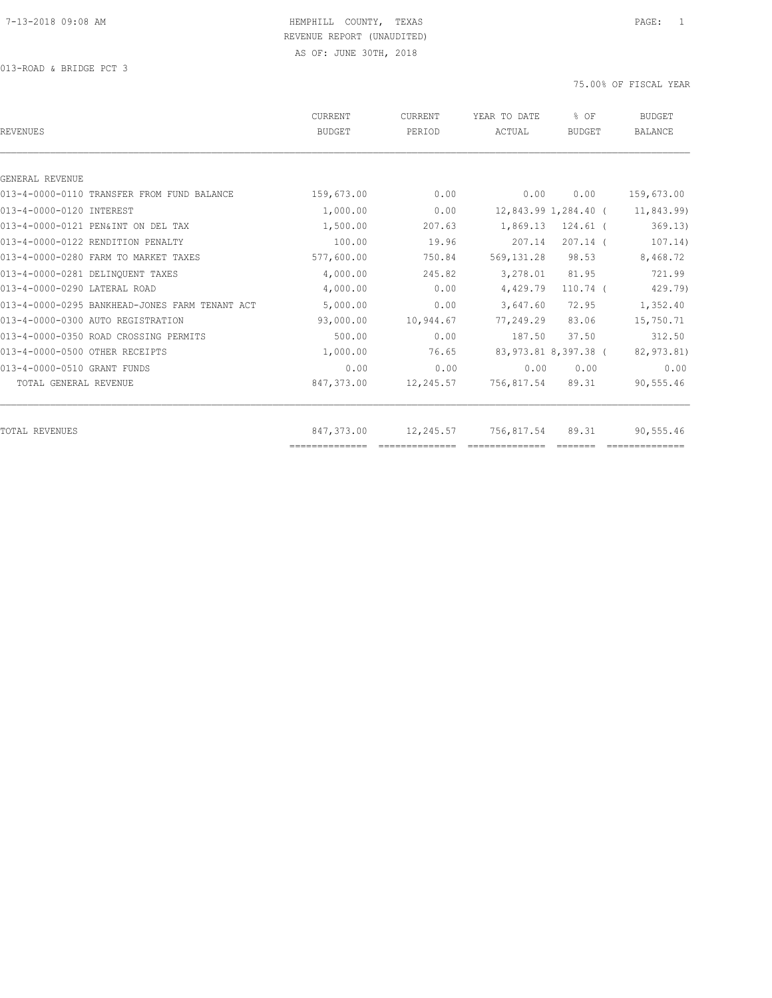| <b>CURRENT</b><br><b>BUDGET</b> | CURRENT<br>PERIOD | YEAR TO DATE<br>ACTUAL | % OF<br>BUDGET | <b>BUDGET</b><br><b>BALANCE</b>                                                                                                |
|---------------------------------|-------------------|------------------------|----------------|--------------------------------------------------------------------------------------------------------------------------------|
|                                 |                   |                        |                |                                                                                                                                |
|                                 |                   |                        |                |                                                                                                                                |
| 159,673.00                      | 0.00              | 0.00                   | 0.00           | 159,673.00                                                                                                                     |
| 1,000.00                        | 0.00              |                        |                | 11,843.99)                                                                                                                     |
| 1,500.00                        | 207.63            |                        | $124.61$ (     | 369.13)                                                                                                                        |
| 100.00                          | 19.96             | 207.14                 | $207.14$ (     | 107.14)                                                                                                                        |
| 577,600.00                      | 750.84            | 569, 131.28            | 98.53          | 8,468.72                                                                                                                       |
| 4,000.00                        | 245.82            |                        | 81.95          | 721.99                                                                                                                         |
| 4,000.00                        | 0.00              | 4,429.79               | $110.74$ (     | 429.79)                                                                                                                        |
| 5,000.00                        | 0.00              | 3,647.60               | 72.95          | 1,352.40                                                                                                                       |
| 93,000.00                       | 10,944.67         |                        | 83.06          | 15,750.71                                                                                                                      |
| 500.00                          | 0.00              | 187.50                 | 37.50          | 312.50                                                                                                                         |
| 1,000.00                        | 76.65             |                        |                | 82,973.81)                                                                                                                     |
| 0.00                            | 0.00              |                        | 0.00           | 0.00                                                                                                                           |
| 847,373.00                      | 12,245.57         |                        | 89.31          | 90,555.46                                                                                                                      |
|                                 |                   |                        |                | 90,555.46                                                                                                                      |
|                                 | 847,373.00        |                        | 12,245.57      | 12,843.99 1,284.40 (<br>1,869.13<br>3,278.01<br>77,249.29<br>83,973.81 8,397.38 (<br>0.00<br>756,817.54<br>756,817.54<br>89.31 |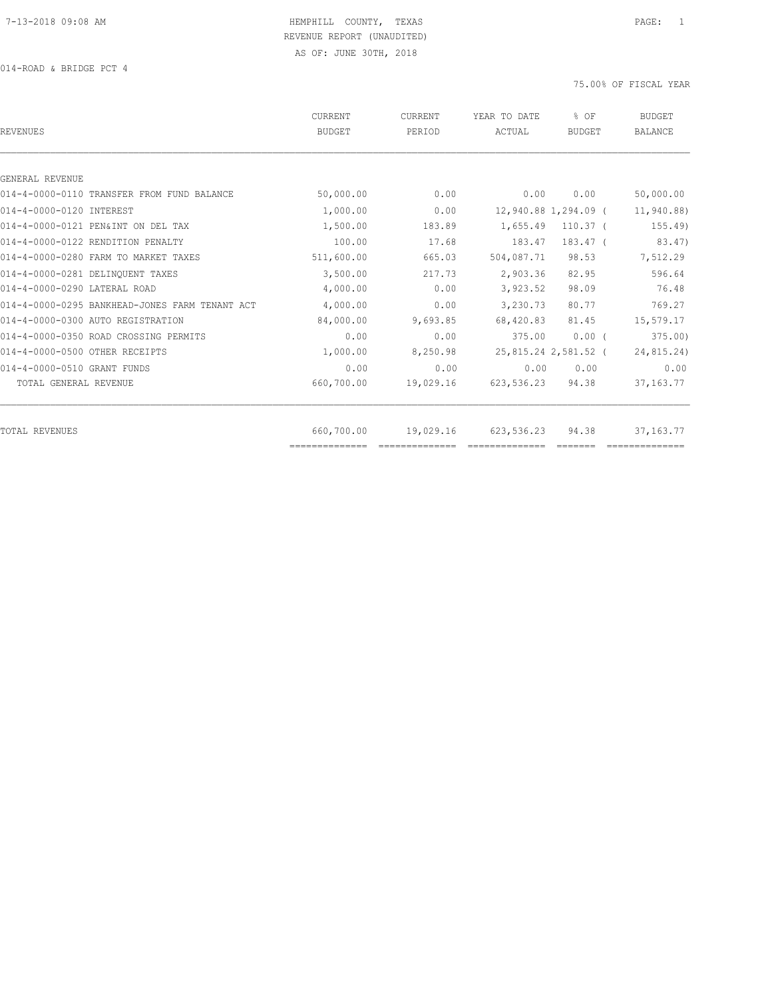| CURRENT<br><b>BUDGET</b> | CURRENT<br>PERIOD     | YEAR TO DATE<br>ACTUAL | % OF<br><b>BUDGET</b> | <b>BUDGET</b><br><b>BALANCE</b>                                                                                                             |
|--------------------------|-----------------------|------------------------|-----------------------|---------------------------------------------------------------------------------------------------------------------------------------------|
|                          |                       |                        |                       |                                                                                                                                             |
|                          |                       |                        |                       |                                                                                                                                             |
|                          |                       |                        |                       | 50,000.00                                                                                                                                   |
|                          |                       |                        |                       | 11,940.88)                                                                                                                                  |
| 1,500.00                 | 183.89                | 1,655.49               | $110.37$ (            | 155.49                                                                                                                                      |
| 100.00                   | 17.68                 | 183.47                 | 183.47 (              | 83.47)                                                                                                                                      |
| 511,600.00               | 665.03                |                        | 98.53                 | 7,512.29                                                                                                                                    |
| 3,500.00                 | 217.73                | 2,903.36               | 82.95                 | 596.64                                                                                                                                      |
| 4,000.00                 | 0.00                  |                        | 98.09                 | 76.48                                                                                                                                       |
| 4,000.00                 | 0.00                  |                        | 80.77                 | 769.27                                                                                                                                      |
| 84,000.00                | 9,693.85              |                        | 81.45                 | 15,579.17                                                                                                                                   |
| 0.00                     | 0.00                  | 375.00                 | $0.00$ (              | 375.00                                                                                                                                      |
| 1,000.00                 | 8,250.98              |                        |                       | 24,815.24)                                                                                                                                  |
| 0.00                     | 0.00                  |                        | 0.00                  | 0.00                                                                                                                                        |
| 660,700.00               | 19,029.16             |                        | 94.38                 | 37, 163. 77                                                                                                                                 |
| 660,700.00               | 19,029.16             |                        | 94.38                 | 37, 163. 77                                                                                                                                 |
|                          | 50,000.00<br>1,000.00 | 0.00<br>0.00           | 0.00                  | 0.00<br>12,940.88 1,294.09 (<br>504,087.71<br>3,923.52<br>3,230.73<br>68,420.83<br>25,815.24 2,581.52 (<br>0.00<br>623,536.23<br>623,536.23 |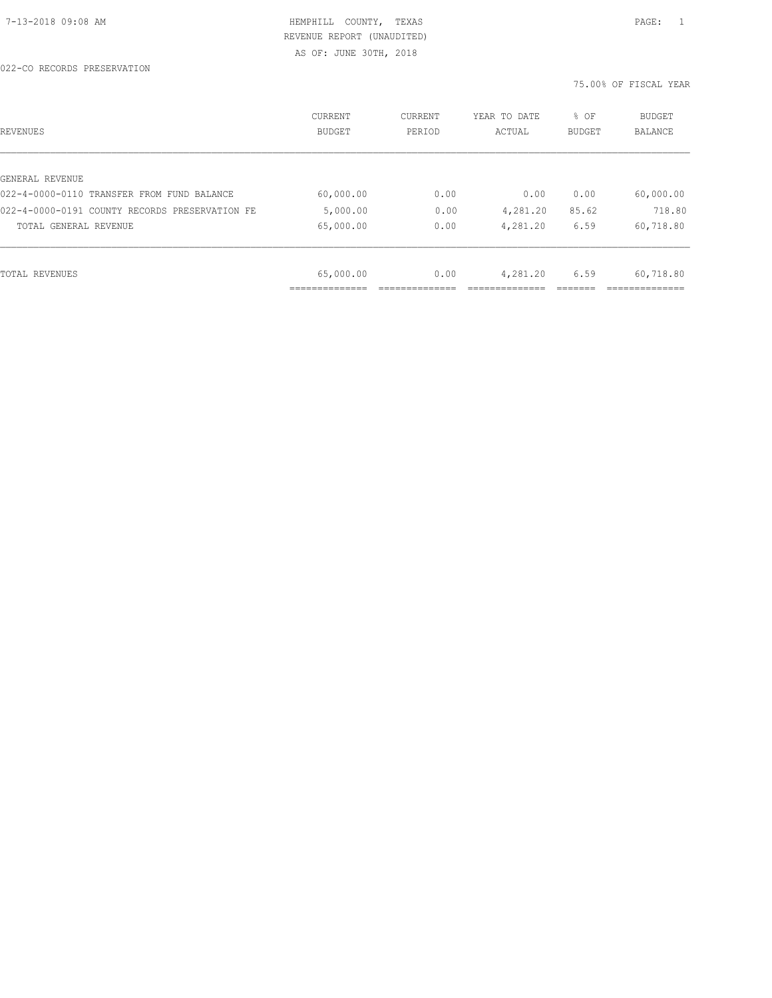| REVENUES                                       | CURRENT<br><b>BUDGET</b> | CURRENT<br>PERIOD | YEAR TO DATE<br>ACTUAL | % OF<br>BUDGET | BUDGET<br>BALANCE |
|------------------------------------------------|--------------------------|-------------------|------------------------|----------------|-------------------|
|                                                |                          |                   |                        |                |                   |
| GENERAL REVENUE                                |                          |                   |                        |                |                   |
| 022-4-0000-0110 TRANSFER FROM FUND BALANCE     | 60,000.00                | 0.00              | 0.00                   | 0.00           | 60,000.00         |
| 022-4-0000-0191 COUNTY RECORDS PRESERVATION FE | 5,000.00                 | 0.00              | 4,281.20               | 85.62          | 718.80            |
| TOTAL GENERAL REVENUE                          | 65,000.00                | 0.00              | 4,281.20               | 6.59           | 60,718.80         |
|                                                |                          |                   |                        |                |                   |
| TOTAL REVENUES                                 | 65,000.00                | 0.00              | 4,281.20               | 6.59           | 60,718.80         |
|                                                |                          |                   |                        |                |                   |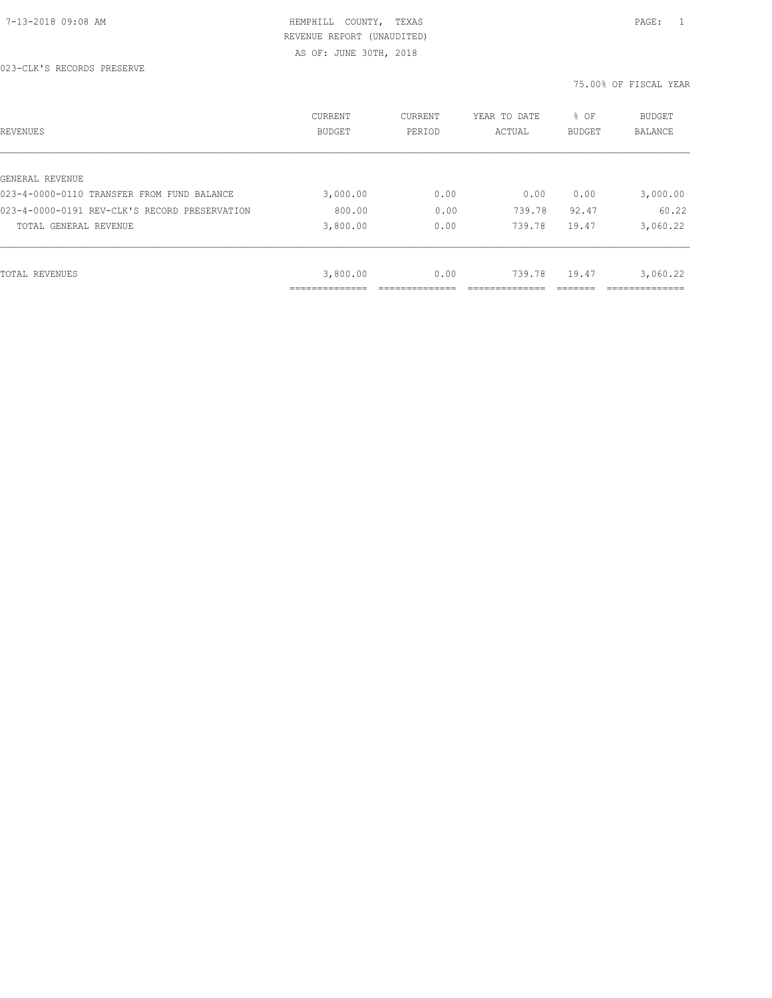AS OF: JUNE 30TH, 2018

023-CLK'S RECORDS PRESERVE

| REVENUES                                      | CURRENT<br><b>BUDGET</b> | CURRENT<br>PERIOD | YEAR TO DATE<br>ACTUAL | % OF<br>BUDGET | BUDGET<br>BALANCE |
|-----------------------------------------------|--------------------------|-------------------|------------------------|----------------|-------------------|
|                                               |                          |                   |                        |                |                   |
| GENERAL REVENUE                               |                          |                   |                        |                |                   |
| 023-4-0000-0110 TRANSFER FROM FUND BALANCE    | 3,000.00                 | 0.00              | 0.00                   | 0.00           | 3,000.00          |
| 023-4-0000-0191 REV-CLK'S RECORD PRESERVATION | 800.00                   | 0.00              | 739.78                 | 92.47          | 60.22             |
| TOTAL GENERAL REVENUE                         | 3,800.00                 | 0.00              | 739.78                 | 19.47          | 3,060.22          |
|                                               |                          |                   |                        |                |                   |
| TOTAL REVENUES                                | 3,800.00                 | 0.00              | 739.78                 | 19.47          | 3,060.22          |
|                                               |                          |                   |                        |                |                   |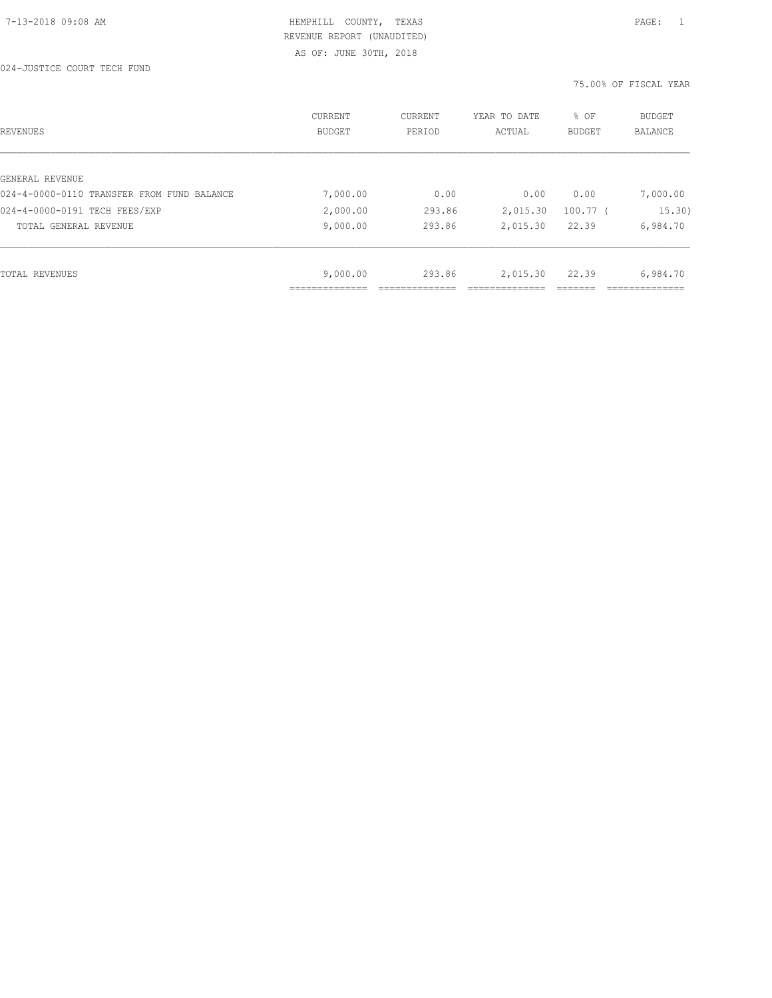| REVENUES                                   | CURRENT<br><b>BUDGET</b>  | CURRENT<br>PERIOD | YEAR TO DATE<br>ACTUAL | % OF<br><b>BUDGET</b> | <b>BUDGET</b><br><b>BALANCE</b> |
|--------------------------------------------|---------------------------|-------------------|------------------------|-----------------------|---------------------------------|
|                                            |                           |                   |                        |                       |                                 |
| GENERAL REVENUE                            |                           |                   |                        |                       |                                 |
| 024-4-0000-0110 TRANSFER FROM FUND BALANCE | 7,000.00                  | 0.00              | 0.00                   | 0.00                  | 7,000.00                        |
| 024-4-0000-0191 TECH FEES/EXP              | 2,000.00                  | 293.86            | 2,015.30               | $100.77$ (            | 15.30)                          |
| TOTAL GENERAL REVENUE                      | 9,000.00                  | 293.86            | 2,015.30               | 22.39                 | 6,984.70                        |
|                                            |                           |                   |                        |                       |                                 |
| TOTAL REVENUES                             | 9,000.00                  | 293.86            | 2,015.30               | 22.39                 | 6,984.70                        |
|                                            | ____________<br>--------- |                   |                        |                       | -----------                     |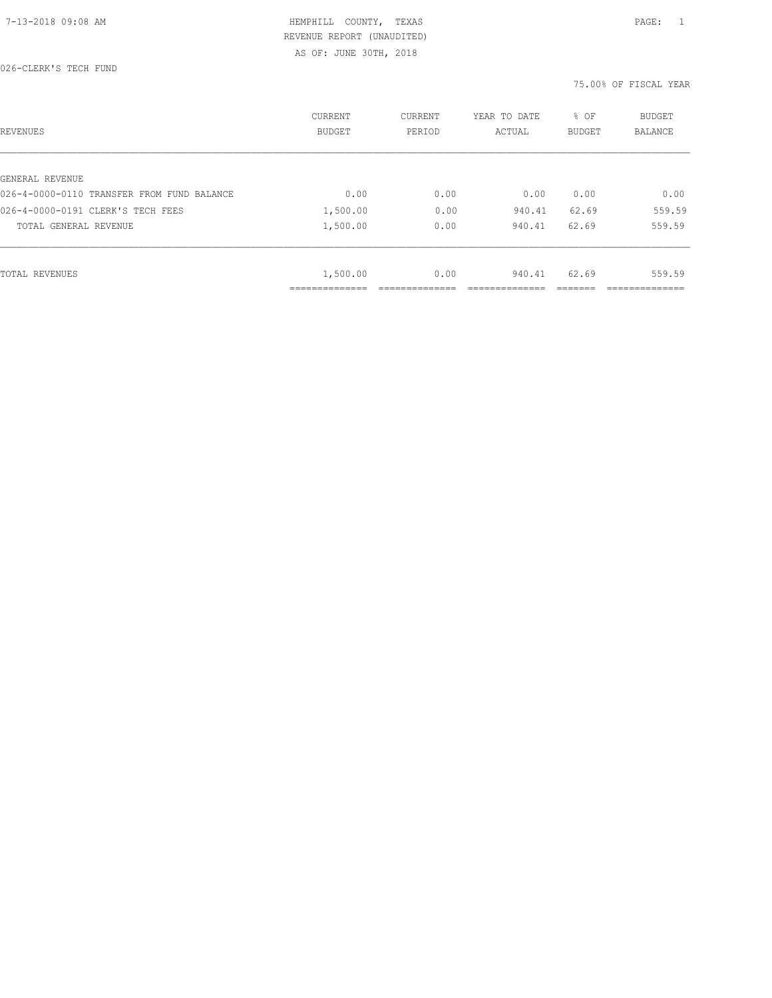AS OF: JUNE 30TH, 2018

026-CLERK'S TECH FUND

| REVENUES                                   | CURRENT<br><b>BUDGET</b>  | CURRENT<br>PERIOD | YEAR TO DATE<br>ACTUAL | % OF<br>BUDGET | BUDGET<br><b>BALANCE</b> |
|--------------------------------------------|---------------------------|-------------------|------------------------|----------------|--------------------------|
|                                            |                           |                   |                        |                |                          |
| GENERAL REVENUE                            |                           |                   |                        |                |                          |
| 026-4-0000-0110 TRANSFER FROM FUND BALANCE | 0.00                      | 0.00              | 0.00                   | 0.00           | 0.00                     |
| 026-4-0000-0191 CLERK'S TECH FEES          | 1,500.00                  | 0.00              | 940.41                 | 62.69          | 559.59                   |
| TOTAL GENERAL REVENUE                      | 1,500.00                  | 0.00              | 940.41                 | 62.69          | 559.59                   |
|                                            |                           |                   |                        |                |                          |
| TOTAL REVENUES                             | 1,500.00                  | 0.00              | 940.41                 | 62.69          | 559.59                   |
|                                            | ----------<br>----------- |                   |                        |                |                          |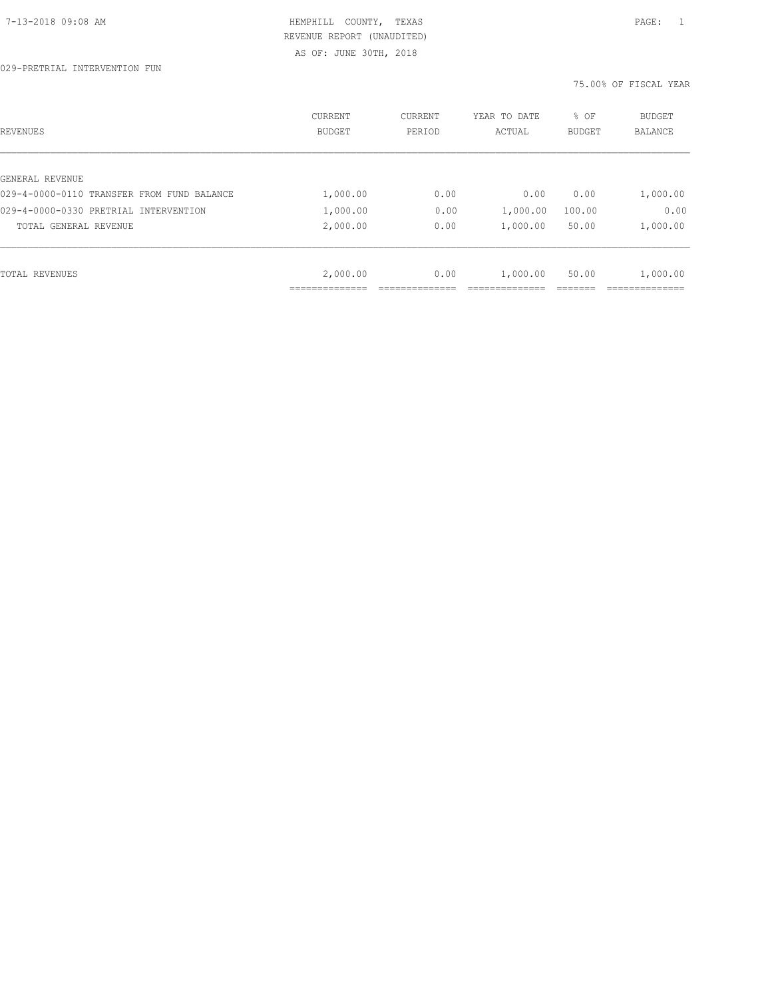| REVENUES                                   | CURRENT<br><b>BUDGET</b> | CURRENT<br>PERIOD | YEAR TO DATE<br>ACTUAL | % OF<br>BUDGET | BUDGET<br>BALANCE |
|--------------------------------------------|--------------------------|-------------------|------------------------|----------------|-------------------|
|                                            |                          |                   |                        |                |                   |
| GENERAL REVENUE                            |                          |                   |                        |                |                   |
| 029-4-0000-0110 TRANSFER FROM FUND BALANCE | 1,000.00                 | 0.00              | 0.00                   | 0.00           | 1,000.00          |
| 029-4-0000-0330 PRETRIAL INTERVENTION      | 1,000.00                 | 0.00              | 1,000.00               | 100.00         | 0.00              |
| TOTAL GENERAL REVENUE                      | 2,000.00                 | 0.00              | 1,000.00               | 50.00          | 1,000.00          |
|                                            |                          |                   |                        |                |                   |
| TOTAL REVENUES                             | 2,000.00                 | 0.00              | 1,000.00               | 50.00          | 1,000.00          |
|                                            |                          |                   |                        |                |                   |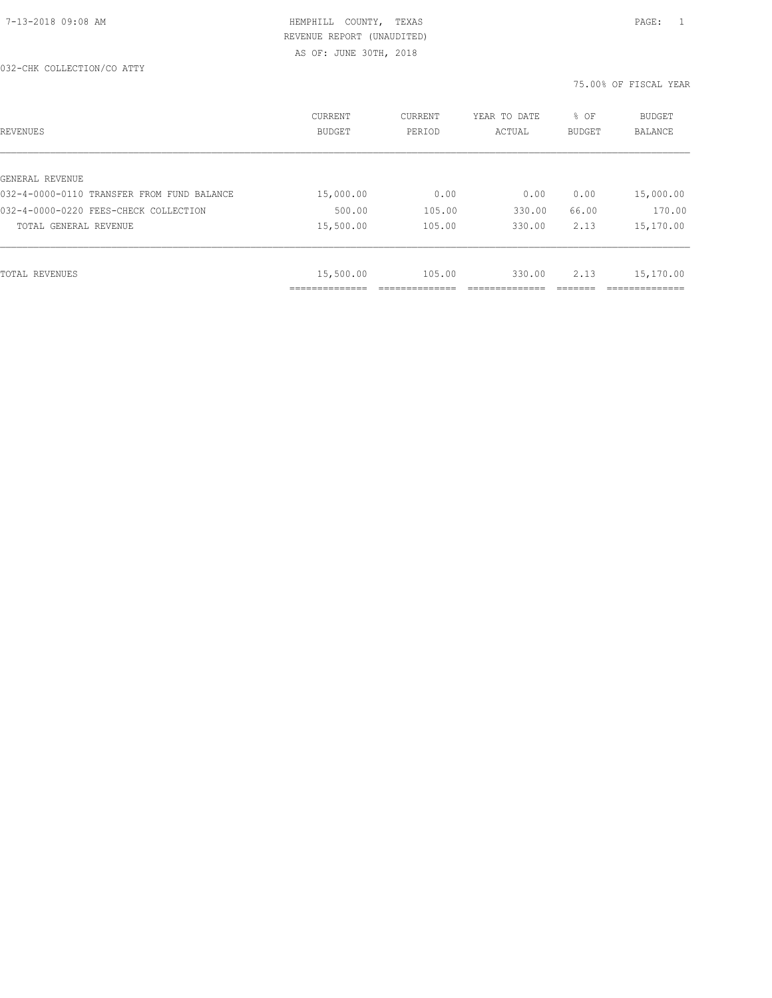| REVENUES                                   | <b>CURRENT</b><br><b>BUDGET</b> | CURRENT<br>PERIOD | YEAR TO DATE<br>ACTUAL | % OF<br><b>BUDGET</b> | <b>BUDGET</b><br>BALANCE |
|--------------------------------------------|---------------------------------|-------------------|------------------------|-----------------------|--------------------------|
|                                            |                                 |                   |                        |                       |                          |
| GENERAL REVENUE                            |                                 |                   |                        |                       |                          |
| 032-4-0000-0110 TRANSFER FROM FUND BALANCE | 15,000.00                       | 0.00              | 0.00                   | 0.00                  | 15,000.00                |
| 032-4-0000-0220 FEES-CHECK COLLECTION      | 500.00                          | 105.00            | 330.00                 | 66.00                 | 170.00                   |
| TOTAL GENERAL REVENUE                      | 15,500.00                       | 105.00            | 330.00                 | 2.13                  | 15,170.00                |
|                                            |                                 |                   |                        |                       |                          |
| TOTAL REVENUES                             | 15,500.00                       | 105.00            | 330.00                 | 2.13                  | 15,170.00                |
|                                            | ___________                     |                   |                        |                       |                          |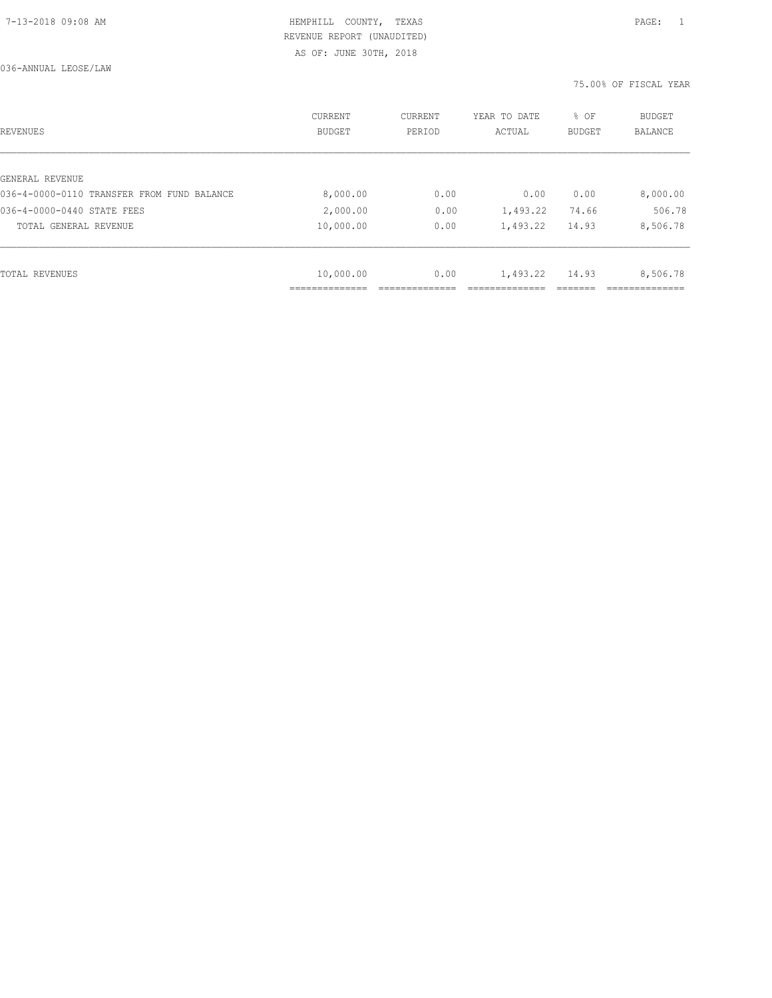036-ANNUAL LEOSE/LAW

| REVENUES                                   | CURRENT<br><b>BUDGET</b> | CURRENT<br>PERIOD | YEAR TO DATE<br>ACTUAL | % OF<br><b>BUDGET</b> | BUDGET<br>BALANCE |
|--------------------------------------------|--------------------------|-------------------|------------------------|-----------------------|-------------------|
|                                            |                          |                   |                        |                       |                   |
| GENERAL REVENUE                            |                          |                   |                        |                       |                   |
| 036-4-0000-0110 TRANSFER FROM FUND BALANCE | 8,000.00                 | 0.00              | 0.00                   | 0.00                  | 8,000.00          |
| 036-4-0000-0440 STATE FEES                 | 2,000.00                 | 0.00              | 1,493.22               | 74.66                 | 506.78            |
| TOTAL GENERAL REVENUE                      | 10,000.00                | 0.00              | 1,493.22               | 14.93                 | 8,506.78          |
|                                            |                          |                   |                        |                       |                   |
| TOTAL REVENUES                             | 10,000.00                | 0.00              | 1,493.22               | 14.93                 | 8,506.78          |
|                                            |                          |                   |                        |                       |                   |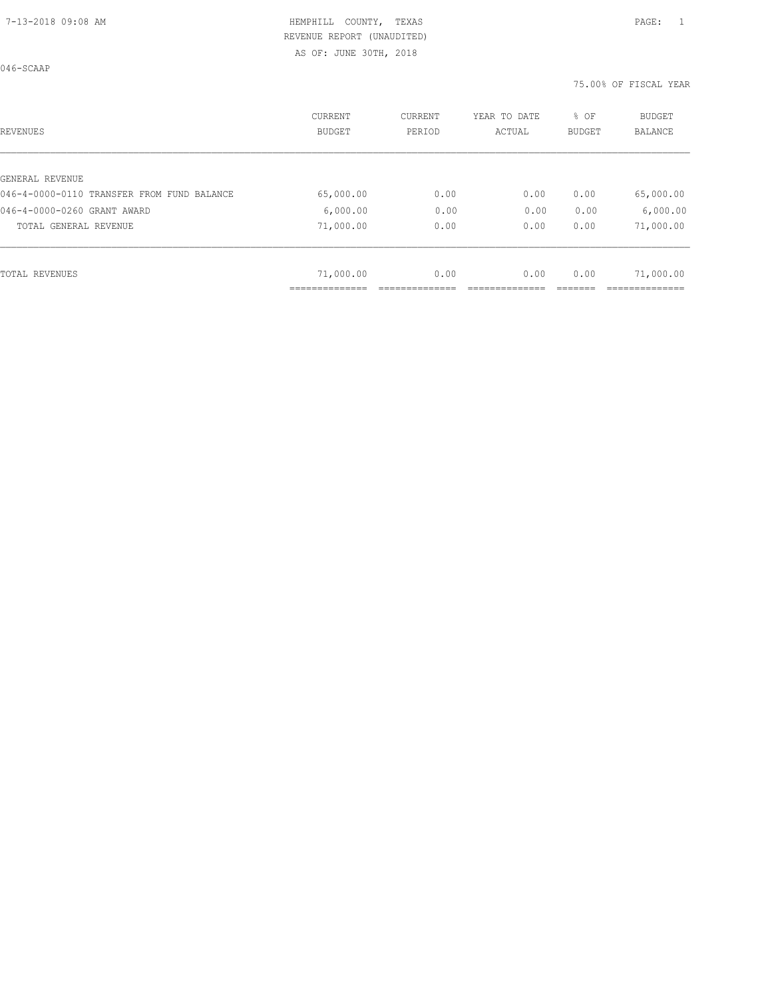AS OF: JUNE 30TH, 2018

046-SCAAP

| REVENUES                                   | <b>CURRENT</b><br><b>BUDGET</b> | CURRENT<br>PERIOD | YEAR TO DATE<br>ACTUAL | % OF<br>BUDGET | BUDGET<br><b>BALANCE</b> |
|--------------------------------------------|---------------------------------|-------------------|------------------------|----------------|--------------------------|
|                                            |                                 |                   |                        |                |                          |
| GENERAL REVENUE                            |                                 |                   |                        |                |                          |
| 046-4-0000-0110 TRANSFER FROM FUND BALANCE | 65,000.00                       | 0.00              | 0.00                   | 0.00           | 65,000.00                |
| 046-4-0000-0260 GRANT AWARD                | 6,000.00                        | 0.00              | 0.00                   | 0.00           | 6,000.00                 |
| TOTAL GENERAL REVENUE                      | 71,000.00                       | 0.00              | 0.00                   | 0.00           | 71,000.00                |
|                                            |                                 |                   |                        |                |                          |
| TOTAL REVENUES                             | 71,000.00                       | 0.00              | 0.00                   | 0.00           | 71,000.00                |
|                                            |                                 |                   |                        |                |                          |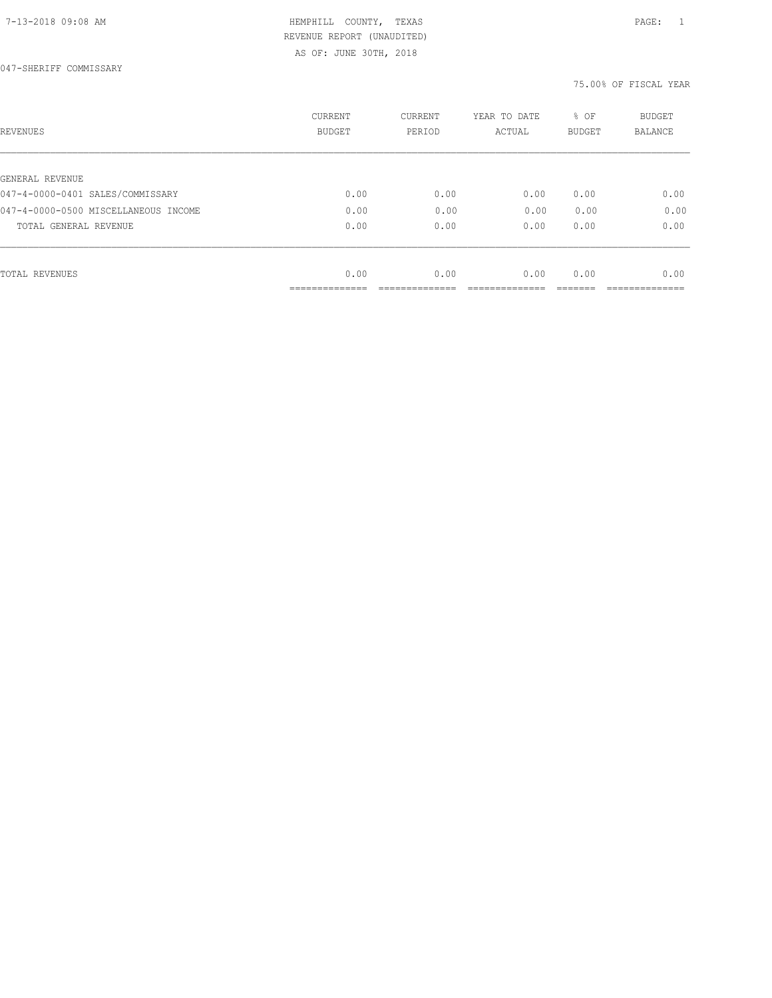AS OF: JUNE 30TH, 2018

| REVENUES                             | <b>CURRENT</b><br><b>BUDGET</b> | CURRENT<br>PERIOD | YEAR TO DATE<br>ACTUAL | % OF<br>BUDGET | BUDGET<br><b>BALANCE</b> |
|--------------------------------------|---------------------------------|-------------------|------------------------|----------------|--------------------------|
|                                      |                                 |                   |                        |                |                          |
| GENERAL REVENUE                      |                                 |                   |                        |                |                          |
| 047-4-0000-0401 SALES/COMMISSARY     | 0.00                            | 0.00              | 0.00                   | 0.00           | 0.00                     |
| 047-4-0000-0500 MISCELLANEOUS INCOME | 0.00                            | 0.00              | 0.00                   | 0.00           | 0.00                     |
| TOTAL GENERAL REVENUE                | 0.00                            | 0.00              | 0.00                   | 0.00           | 0.00                     |
|                                      |                                 |                   |                        |                |                          |
| TOTAL REVENUES                       | 0.00                            | 0.00              | 0.00                   | 0.00           | 0.00                     |
|                                      | __________                      |                   |                        |                |                          |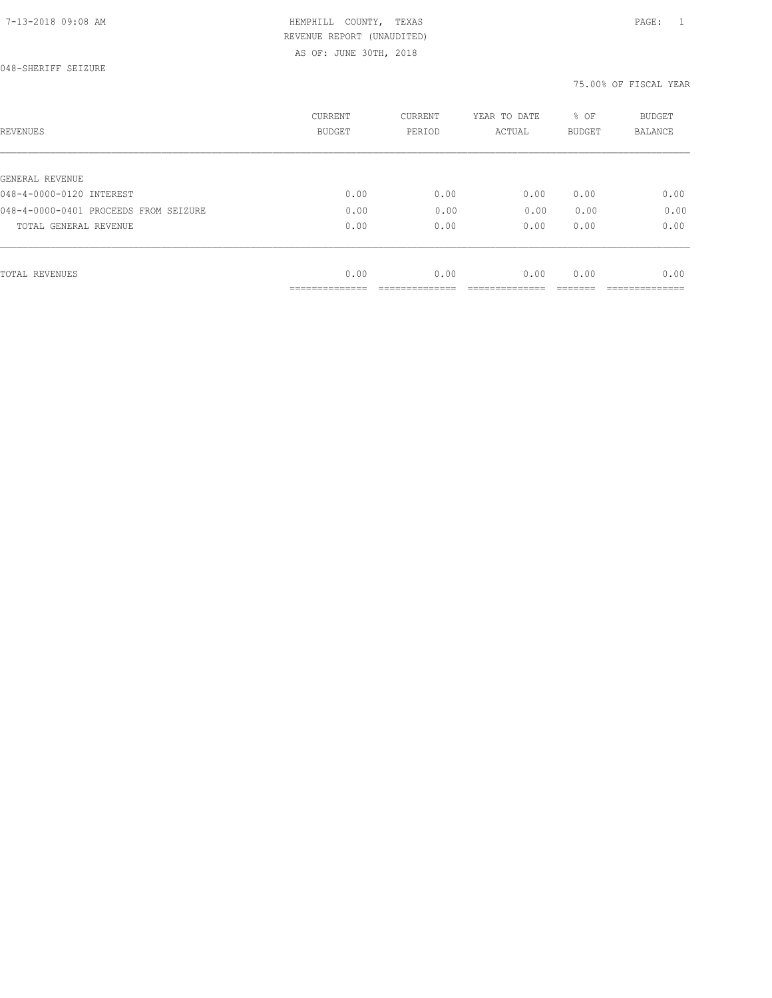AS OF: JUNE 30TH, 2018

048-SHERIFF SEIZURE

| REVENUES                              | CURRENT<br><b>BUDGET</b> | CURRENT<br>PERIOD | YEAR TO DATE<br>ACTUAL | % OF<br>BUDGET | BUDGET<br>BALANCE |
|---------------------------------------|--------------------------|-------------------|------------------------|----------------|-------------------|
|                                       |                          |                   |                        |                |                   |
| GENERAL REVENUE                       |                          |                   |                        |                |                   |
| 048-4-0000-0120 INTEREST              | 0.00                     | 0.00              | 0.00                   | 0.00           | 0.00              |
| 048-4-0000-0401 PROCEEDS FROM SEIZURE | 0.00                     | 0.00              | 0.00                   | 0.00           | 0.00              |
| TOTAL GENERAL REVENUE                 | 0.00                     | 0.00              | 0.00                   | 0.00           | 0.00              |
|                                       |                          |                   |                        |                |                   |
| TOTAL REVENUES                        | 0.00                     | 0.00              | 0.00                   | 0.00           | 0.00              |
|                                       | ----------               |                   |                        |                |                   |